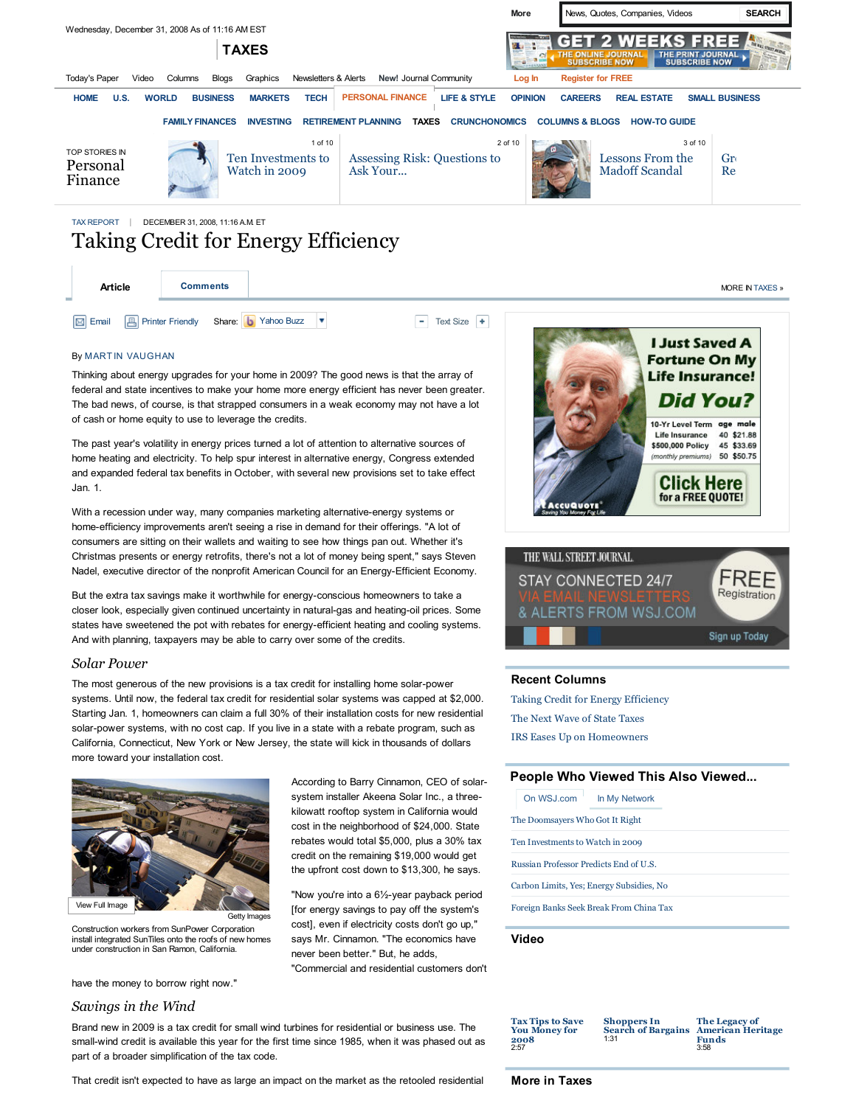

## TAX REPORT | DECEMBER 31, 2008, 11:16 A.M. ET Taking Credit for Energy Efficiency

| <b>Article</b>            | Comments                  |                            |                                   | MORE IN TAXES »      |
|---------------------------|---------------------------|----------------------------|-----------------------------------|----------------------|
| $\boxed{\boxtimes}$ Email | <b>A</b> Printer Friendly | Share: <b>b</b> Yahoo Buzz | <b>Text Size</b><br><b>. прот</b> | <b>LJust Saved A</b> |

#### By MART IN VAUGHAN

Thinking about energy upgrades for your home in 2009? The good news is that the array of federal and state incentives to make your home more energy efficient has never been greater. The bad news, of course, is that strapped consumers in a weak economy may not have a lot of cash or home equity to use to leverage the credits.

The past year's volatility in energy prices turned a lot of attention to alternative sources of home heating and electricity. To help spur interest in alternative energy, Congress extended and expanded federal tax benefits in October, with several new provisions set to take effect Jan. 1.

With a recession under way, many companies marketing alternative-energy systems or home-efficiency improvements aren't seeing a rise in demand for their offerings. "A lot of consumers are sitting on their wallets and waiting to see how things pan out. Whether it's Christmas presents or energy retrofits, there's not a lot of money being spent," says Steven Nadel, executive director of the nonprofit American Council for an Energy-Efficient Economy.

But the extra tax savings make it worthwhile for energy-conscious homeowners to take a closer look, especially given continued uncertainty in natural-gas and heating-oil prices. Some states have sweetened the pot with rebates for energy-efficient heating and cooling systems. And with planning, taxpayers may be able to carry over some of the credits.

#### Solar Power

The most generous of the new provisions is a tax credit for installing home solar-power systems. Until now, the federal tax credit for residential solar systems was capped at \$2,000. Starting Jan. 1, homeowners can claim a full 30% of their installation costs for new residential solar-power systems, with no cost cap. If you live in a state with a rebate program, such as California, Connecticut, New York or New Jersey, the state will kick in thousands of dollars more toward your installation cost.

> According to Barry Cinnamon, CEO of solarsystem installer Akeena Solar Inc., a threekilowatt rooftop system in California would cost in the neighborhood of \$24,000. State rebates would total \$5,000, plus a 30% tax credit on the remaining \$19,000 would get the upfront cost down to \$13,300, he says. "Now you're into a 6½-year payback period [for energy savings to pay off the system's cost], even if electricity costs don't go up," says Mr. Cinnamon. "The economics have never been better." But, he adds,

> "Commercial and residential customers don't



Construction workers from SunPower Corporation install integrated SunTiles onto the roofs of new homes under construction in San Ramon, California.

have the money to borrow right now."

### Savings in the Wind

Brand new in 2009 is a tax credit for small wind turbines for residential or business use. The small-wind credit is available this year for the first time since 1985, when it was phased out as part of a broader simplification of the tax code.

Getty Imag





#### Recent Columns

Taking Credit for Energy Efficiency The Next Wave of State Taxes IRS Eases Up on Homeowners

#### People Who Viewed This Also Viewed...

On WSJ.com In My Network The Doomsayers Who Got It Right Ten Investments to Watch in 2009 Russian Professor Predicts End of U.S.

Carbon Limits, Yes; Energy Subsidies, No

Foreign Banks Seek Break From China Tax

#### Video

Tax Tips to Save You Money for 2008 2:57

Shoppers In Search of Bargains 1:31

The Legacy of American Heritage Funds 3:58

That credit isn't expected to have as large an impact on the market as the retooled residential

More in Taxes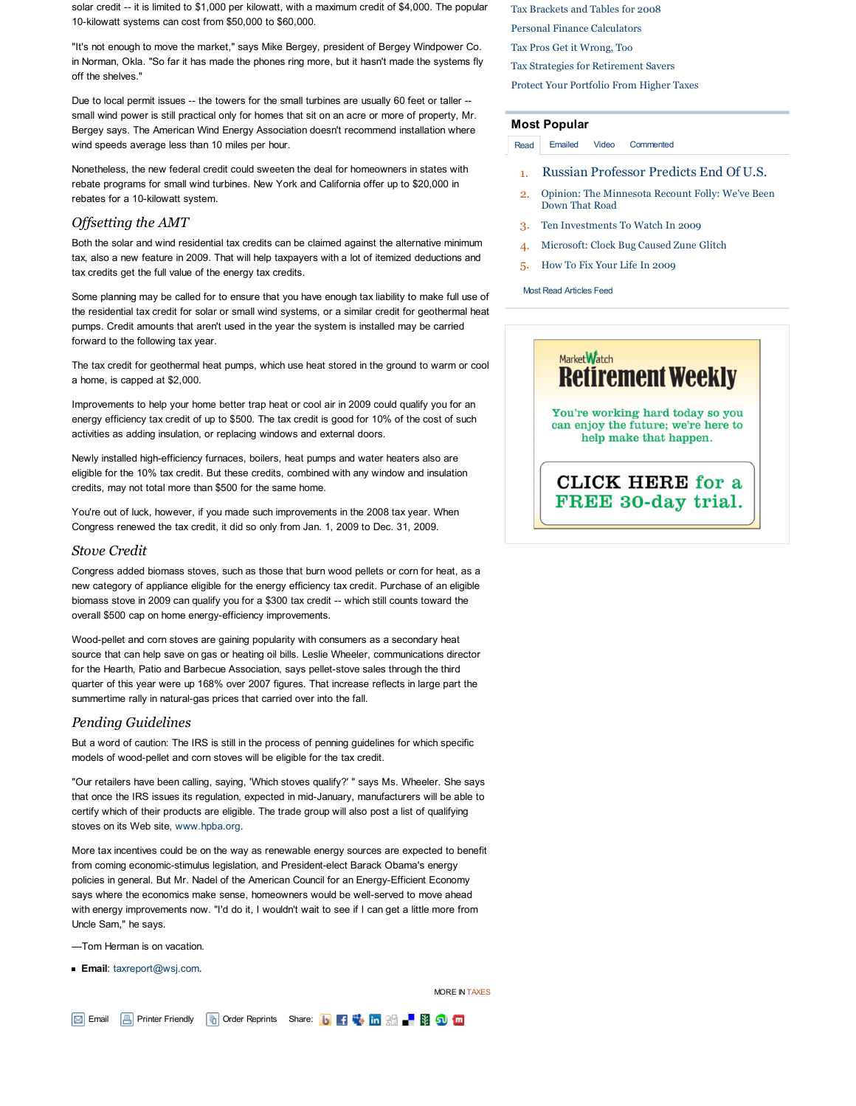solar credit -- it is limited to \$1,000 per kilowatt, with a maximum credit of \$4,000. The popular 10-kilowatt systems can cost from \$50,000 to \$60,000.

"It's not enough to move the market," says Mike Bergey, president of Bergey Windpower Co. in Norman, Okla. "So far it has made the phones ring more, but it hasn't made the systems fly off the shelves."

Due to local permit issues -- the towers for the small turbines are usually 60 feet or taller - small wind power is still practical only for homes that sit on an acre or more of property, Mr. Bergey says. The American Wind Energy Association doesn't recommend installation where wind speeds average less than 10 miles per hour.

Nonetheless, the new federal credit could sweeten the deal for homeowners in states with rebate programs for small wind turbines. New York and California offer up to \$20,000 in rebates for a 10-kilowatt system.

### Offsetting the AMT

Both the solar and wind residential tax credits can be claimed against the alternative minimum tax, also a new feature in 2009. That will help taxpayers with a lot of itemized deductions and tax credits get the full value of the energy tax credits.

Some planning may be called for to ensure that you have enough tax liability to make full use of the residential tax credit for solar or small wind systems, or a similar credit for geothermal heat pumps. Credit amounts that aren't used in the year the system is installed may be carried forward to the following tax year.

The tax credit for geothermal heat pumps, which use heat stored in the ground to warm or cool a home, is capped at \$2,000.

Improvements to help your home better trap heat or cool air in 2009 could qualify you for an energy efficiency tax credit of up to \$500. The tax credit is good for 10% of the cost of such activities as adding insulation, or replacing windows and external doors.

Newly installed high-efficiency furnaces, boilers, heat pumps and water heaters also are eligible for the 10% tax credit. But these credits, combined with any window and insulation credits, may not total more than \$500 for the same home.

You're out of luck, however, if you made such improvements in the 2008 tax year. When Congress renewed the tax credit, it did so only from Jan. 1, 2009 to Dec. 31, 2009.

#### Stove Credit

Congress added biomass stoves, such as those that burn wood pellets or corn for heat, as a new category of appliance eligible for the energy efficiency tax credit. Purchase of an eligible biomass stove in 2009 can qualify you for a \$300 tax credit -- which still counts toward the overall \$500 cap on home energy-efficiency improvements.

Wood-pellet and corn stoves are gaining popularity with consumers as a secondary heat source that can help save on gas or heating oil bills. Leslie Wheeler, communications director for the Hearth, Patio and Barbecue Association, says pellet-stove sales through the third quarter of this year were up 168% over 2007 figures. That increase reflects in large part the summertime rally in natural-gas prices that carried over into the fall.

#### Pending Guidelines

But a word of caution: The IRS is still in the process of penning guidelines for which specific models of wood-pellet and corn stoves will be eligible for the tax credit.

"Our retailers have been calling, saying, 'Which stoves qualify?' " says Ms. Wheeler. She says that once the IRS issues its regulation, expected in mid-January, manufacturers will be able to certify which of their products are eligible. The trade group will also post a list of qualifying stoves on its Web site, www.hpba.org.

More tax incentives could be on the way as renewable energy sources are expected to benefit from coming economic-stimulus legislation, and President-elect Barack Obama's energy policies in general. But Mr. Nadel of the American Council for an Energy-Efficient Economy says where the economics make sense, homeowners would be well-served to move ahead with energy improvements now. "I'd do it, I wouldn't wait to see if I can get a little more from Uncle Sam," he says.

—Tom Herman is on vacation.

**Email:** taxreport@wsj.com.

MORE IN TAXES



Tax Brackets and Tables for 2008 Personal Finance Calculators Tax Pros Get it Wrong, Too Tax Strategies for Retirement Savers Protect Your Portfolio From Higher Taxes

#### Most Popular

Read Emailed Video Commented

- 1. Russian Professor Predicts End Of U.S.
- 2. Opinion: The Minnesota Recount Folly: We've Been Down That Road
- 3. Ten Investments To Watch In 2009
- 4. Microsoft: Clock Bug Caused Zune Glitch
- 5. How To Fix Your Life In 2009

Most Read Articles Feed